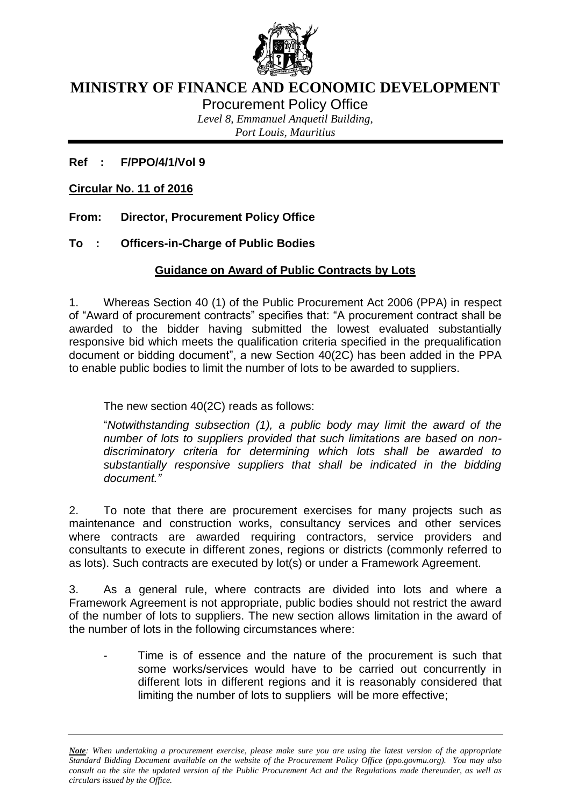

# **MINISTRY OF FINANCE AND ECONOMIC DEVELOPMENT**

Procurement Policy Office

*Level 8, Emmanuel Anquetil Building, Port Louis, Mauritius*

**Ref : F/PPO/4/1/Vol 9**

**Circular No. 11 of 2016**

**From: Director, Procurement Policy Office**

**To : Officers-in-Charge of Public Bodies**

# **Guidance on Award of Public Contracts by Lots**

1. Whereas Section 40 (1) of the Public Procurement Act 2006 (PPA) in respect of "Award of procurement contracts" specifies that: "A procurement contract shall be awarded to the bidder having submitted the lowest evaluated substantially responsive bid which meets the qualification criteria specified in the prequalification document or bidding document", a new Section 40(2C) has been added in the PPA to enable public bodies to limit the number of lots to be awarded to suppliers.

The new section 40(2C) reads as follows:

"*Notwithstanding subsection (1), a public body may limit the award of the number of lots to suppliers provided that such limitations are based on nondiscriminatory criteria for determining which lots shall be awarded to substantially responsive suppliers that shall be indicated in the bidding document."*

2. To note that there are procurement exercises for many projects such as maintenance and construction works, consultancy services and other services where contracts are awarded requiring contractors, service providers and consultants to execute in different zones, regions or districts (commonly referred to as lots). Such contracts are executed by lot(s) or under a Framework Agreement.

3. As a general rule, where contracts are divided into lots and where a Framework Agreement is not appropriate, public bodies should not restrict the award of the number of lots to suppliers. The new section allows limitation in the award of the number of lots in the following circumstances where:

Time is of essence and the nature of the procurement is such that some works/services would have to be carried out concurrently in different lots in different regions and it is reasonably considered that limiting the number of lots to suppliers will be more effective;

*Note: When undertaking a procurement exercise, please make sure you are using the latest version of the appropriate Standard Bidding Document available on the website of the Procurement Policy Office (ppo.govmu.org). You may also consult on the site the updated version of the Public Procurement Act and the Regulations made thereunder, as well as circulars issued by the Office.*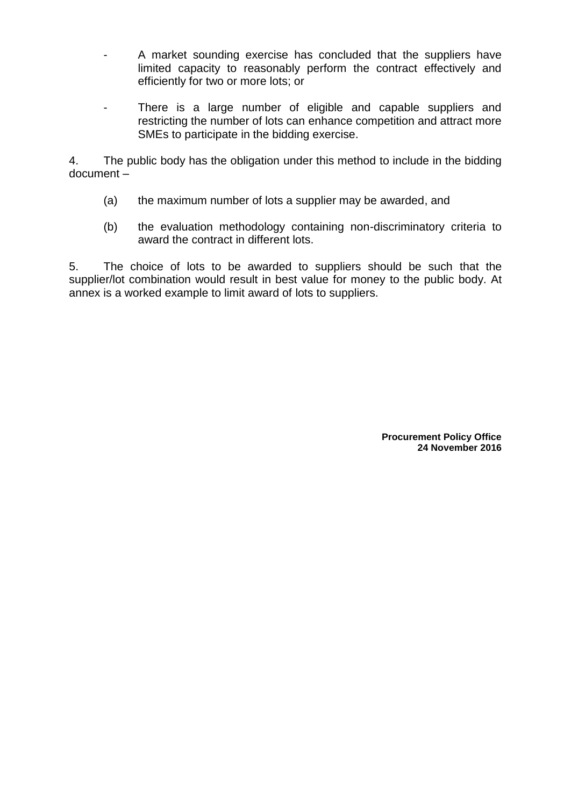- A market sounding exercise has concluded that the suppliers have limited capacity to reasonably perform the contract effectively and efficiently for two or more lots; or
- There is a large number of eligible and capable suppliers and restricting the number of lots can enhance competition and attract more SMEs to participate in the bidding exercise.

4. The public body has the obligation under this method to include in the bidding document –

- (a) the maximum number of lots a supplier may be awarded, and
- (b) the evaluation methodology containing non-discriminatory criteria to award the contract in different lots.

5. The choice of lots to be awarded to suppliers should be such that the supplier/lot combination would result in best value for money to the public body. At annex is a worked example to limit award of lots to suppliers.

> **Procurement Policy Office 24 November 2016**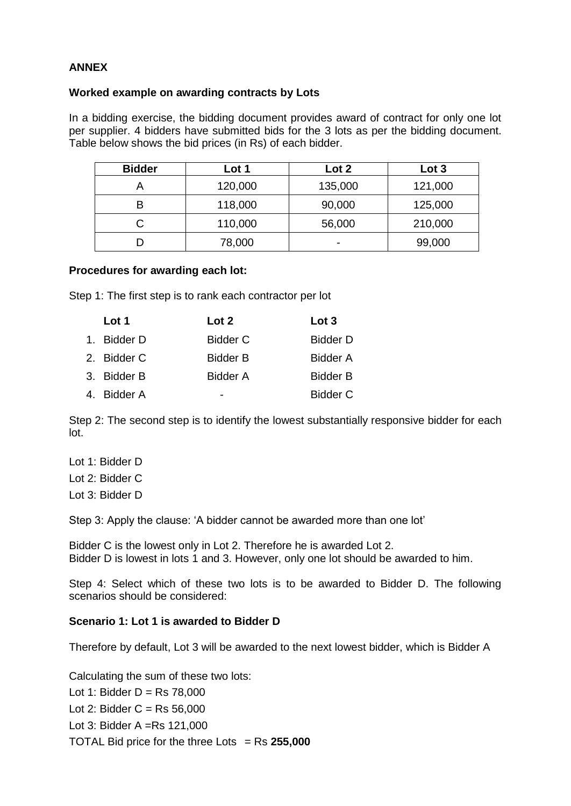## **ANNEX**

## **Worked example on awarding contracts by Lots**

In a bidding exercise, the bidding document provides award of contract for only one lot per supplier. 4 bidders have submitted bids for the 3 lots as per the bidding document. Table below shows the bid prices (in Rs) of each bidder.

| <b>Bidder</b> | Lot 1   | Lot 2   | Lot 3   |
|---------------|---------|---------|---------|
|               | 120,000 | 135,000 | 121,000 |
| в             | 118,000 | 90,000  | 125,000 |
|               | 110,000 | 56,000  | 210,000 |
|               | 78,000  | -       | 99,000  |

### **Procedures for awarding each lot:**

Step 1: The first step is to rank each contractor per lot

| Lot 1       | Lot 2           | Lot 3           |
|-------------|-----------------|-----------------|
| 1. Bidder D | <b>Bidder C</b> | <b>Bidder D</b> |
| 2. Bidder C | <b>Bidder B</b> | <b>Bidder A</b> |
| 3. Bidder B | Bidder A        | <b>Bidder B</b> |
| 4. Bidder A |                 | <b>Bidder C</b> |

Step 2: The second step is to identify the lowest substantially responsive bidder for each lot.

Lot 1: Bidder D Lot 2: Bidder C Lot 3: Bidder D

Step 3: Apply the clause: 'A bidder cannot be awarded more than one lot'

Bidder C is the lowest only in Lot 2. Therefore he is awarded Lot 2. Bidder D is lowest in lots 1 and 3. However, only one lot should be awarded to him.

Step 4: Select which of these two lots is to be awarded to Bidder D. The following scenarios should be considered:

### **Scenario 1: Lot 1 is awarded to Bidder D**

Therefore by default, Lot 3 will be awarded to the next lowest bidder, which is Bidder A

Calculating the sum of these two lots: Lot 1: Bidder  $D = Rs$  78,000 Lot 2: Bidder  $C = Rs 56,000$ Lot 3: Bidder A =Rs 121,000 TOTAL Bid price for the three Lots = Rs **255,000**